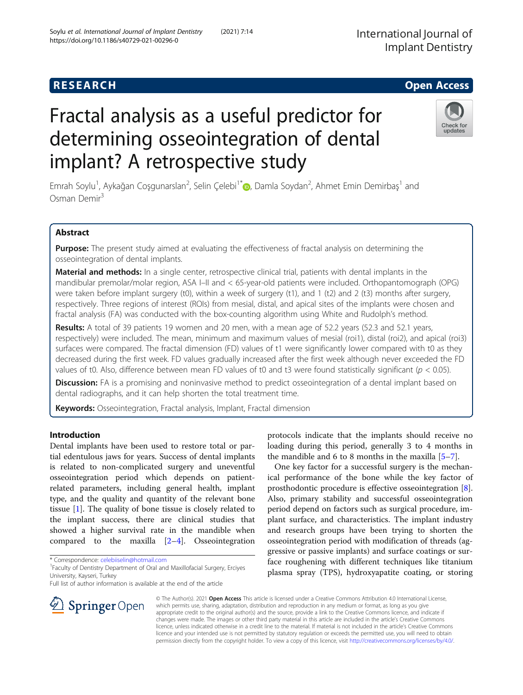# Fractal analysis as a useful predictor for determining osseointegration of dental implant? A retrospective study

Emrah Soylu<sup>1</sup>, Aykağan Coşgunarslan<sup>2</sup>, Selin Çelebi<sup>1[\\*](http://orcid.org/0000-0001-9628-4877)</sup>®, Damla Soydan<sup>2</sup>, Ahmet Emin Demirbaş<sup>1</sup> and Osman Demir<sup>3</sup>

# Abstract

Purpose: The present study aimed at evaluating the effectiveness of fractal analysis on determining the osseointegration of dental implants.

Material and methods: In a single center, retrospective clinical trial, patients with dental implants in the mandibular premolar/molar region, ASA I–II and < 65-year-old patients were included. Orthopantomograph (OPG) were taken before implant surgery (t0), within a week of surgery (t1), and 1 (t2) and 2 (t3) months after surgery, respectively. Three regions of interest (ROIs) from mesial, distal, and apical sites of the implants were chosen and fractal analysis (FA) was conducted with the box-counting algorithm using White and Rudolph's method.

Results: A total of 39 patients 19 women and 20 men, with a mean age of 52.2 years (52.3 and 52.1 years, respectively) were included. The mean, minimum and maximum values of mesial (roi1), distal (roi2), and apical (roi3) surfaces were compared. The fractal dimension (FD) values of t1 were significantly lower compared with t0 as they decreased during the first week. FD values gradually increased after the first week although never exceeded the FD values of t0. Also, difference between mean FD values of t0 and t3 were found statistically significant ( $p < 0.05$ ).

Discussion: FA is a promising and noninvasive method to predict osseointegration of a dental implant based on dental radiographs, and it can help shorten the total treatment time.

Keywords: Osseointegration, Fractal analysis, Implant, Fractal dimension

## Introduction

Dental implants have been used to restore total or partial edentulous jaws for years. Success of dental implants is related to non-complicated surgery and uneventful osseointegration period which depends on patientrelated parameters, including general health, implant type, and the quality and quantity of the relevant bone tissue [\[1](#page-6-0)]. The quality of bone tissue is closely related to the implant success, there are clinical studies that showed a higher survival rate in the mandible when compared to the maxilla [\[2](#page-6-0)–[4](#page-6-0)]. Osseointegration

\* Correspondence: [celebiiselin@hotmail.com](mailto:celebiiselin@hotmail.com) <sup>1</sup>

SpringerOpen

<sup>1</sup> Faculty of Dentistry Department of Oral and Maxillofacial Surgery, Erciyes University, Kayseri, Turkey

Full list of author information is available at the end of the article

protocols indicate that the implants should receive no loading during this period, generally 3 to 4 months in the mandible and 6 to 8 months in the maxilla [\[5](#page-6-0)–[7](#page-6-0)].

One key factor for a successful surgery is the mechanical performance of the bone while the key factor of prosthodontic procedure is effective osseointegration [\[8](#page-6-0)]. Also, primary stability and successful osseointegration period depend on factors such as surgical procedure, implant surface, and characteristics. The implant industry and research groups have been trying to shorten the osseointegration period with modification of threads (aggressive or passive implants) and surface coatings or surface roughening with different techniques like titanium plasma spray (TPS), hydroxyapatite coating, or storing

© The Author(s). 2021 Open Access This article is licensed under a Creative Commons Attribution 4.0 International License, which permits use, sharing, adaptation, distribution and reproduction in any medium or format, as long as you give appropriate credit to the original author(s) and the source, provide a link to the Creative Commons licence, and indicate if changes were made. The images or other third party material in this article are included in the article's Creative Commons licence, unless indicated otherwise in a credit line to the material. If material is not included in the article's Creative Commons licence and your intended use is not permitted by statutory regulation or exceeds the permitted use, you will need to obtain permission directly from the copyright holder. To view a copy of this licence, visit <http://creativecommons.org/licenses/by/4.0/>.



**RESEARCH CHE Open Access**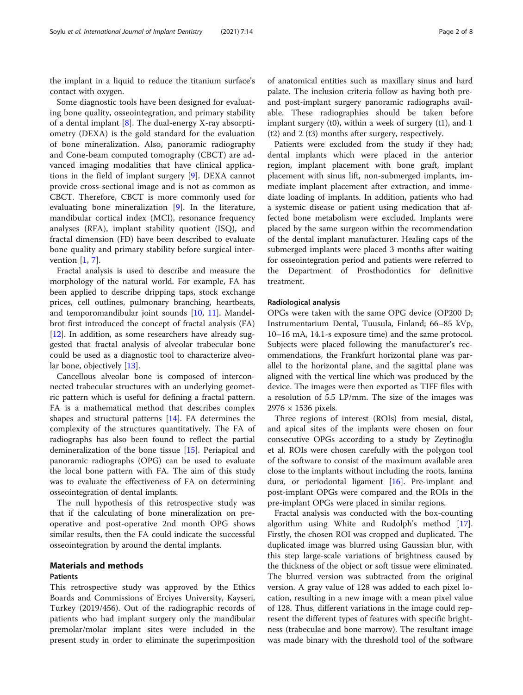the implant in a liquid to reduce the titanium surface's contact with oxygen.

Some diagnostic tools have been designed for evaluating bone quality, osseointegration, and primary stability of a dental implant [\[8](#page-6-0)]. The dual-energy X-ray absorptiometry (DEXA) is the gold standard for the evaluation of bone mineralization. Also, panoramic radiography and Cone-beam computed tomography (CBCT) are advanced imaging modalities that have clinical applications in the field of implant surgery [\[9](#page-6-0)]. DEXA cannot provide cross-sectional image and is not as common as CBCT. Therefore, CBCT is more commonly used for evaluating bone mineralization [\[9](#page-6-0)]. In the literature, mandibular cortical index (MCI), resonance frequency analyses (RFA), implant stability quotient (ISQ), and fractal dimension (FD) have been described to evaluate bone quality and primary stability before surgical intervention [[1](#page-6-0), [7](#page-6-0)].

Fractal analysis is used to describe and measure the morphology of the natural world. For example, FA has been applied to describe dripping taps, stock exchange prices, cell outlines, pulmonary branching, heartbeats, and temporomandibular joint sounds [\[10](#page-6-0), [11](#page-6-0)]. Mandelbrot first introduced the concept of fractal analysis (FA) [[12\]](#page-6-0). In addition, as some researchers have already suggested that fractal analysis of alveolar trabecular bone could be used as a diagnostic tool to characterize alveo-lar bone, objectively [[13](#page-6-0)].

Cancellous alveolar bone is composed of interconnected trabecular structures with an underlying geometric pattern which is useful for defining a fractal pattern. FA is a mathematical method that describes complex shapes and structural patterns [\[14\]](#page-6-0). FA determines the complexity of the structures quantitatively. The FA of radiographs has also been found to reflect the partial demineralization of the bone tissue [[15](#page-6-0)]. Periapical and panoramic radiographs (OPG) can be used to evaluate the local bone pattern with FA. The aim of this study was to evaluate the effectiveness of FA on determining osseointegration of dental implants.

The null hypothesis of this retrospective study was that if the calculating of bone mineralization on preoperative and post-operative 2nd month OPG shows similar results, then the FA could indicate the successful osseointegration by around the dental implants.

# Materials and methods

### Patients

This retrospective study was approved by the Ethics Boards and Commissions of Erciyes University, Kayseri, Turkey (2019/456). Out of the radiographic records of patients who had implant surgery only the mandibular premolar/molar implant sites were included in the present study in order to eliminate the superimposition

of anatomical entities such as maxillary sinus and hard palate. The inclusion criteria follow as having both preand post-implant surgery panoramic radiographs available. These radiographies should be taken before implant surgery (t0), within a week of surgery (t1), and 1 (t2) and 2 (t3) months after surgery, respectively.

Patients were excluded from the study if they had; dental implants which were placed in the anterior region, implant placement with bone graft, implant placement with sinus lift, non-submerged implants, immediate implant placement after extraction, and immediate loading of implants. In addition, patients who had a systemic disease or patient using medication that affected bone metabolism were excluded. Implants were placed by the same surgeon within the recommendation of the dental implant manufacturer. Healing caps of the submerged implants were placed 3 months after waiting for osseointegration period and patients were referred to the Department of Prosthodontics for definitive treatment.

#### Radiological analysis

OPGs were taken with the same OPG device (OP200 D; Instrumentarium Dental, Tuusula, Finland; 66–85 kVp, 10–16 mA, 14.1-s exposure time) and the same protocol. Subjects were placed following the manufacturer's recommendations, the Frankfurt horizontal plane was parallel to the horizontal plane, and the sagittal plane was aligned with the vertical line which was produced by the device. The images were then exported as TIFF files with a resolution of 5.5 LP/mm. The size of the images was 2976 × 1536 pixels.

Three regions of interest (ROIs) from mesial, distal, and apical sites of the implants were chosen on four consecutive OPGs according to a study by Zeytinoğlu et al. ROIs were chosen carefully with the polygon tool of the software to consist of the maximum available area close to the implants without including the roots, lamina dura, or periodontal ligament [\[16](#page-6-0)]. Pre-implant and post-implant OPGs were compared and the ROIs in the pre-implant OPGs were placed in similar regions.

Fractal analysis was conducted with the box-counting algorithm using White and Rudolph's method [\[17](#page-6-0)]. Firstly, the chosen ROI was cropped and duplicated. The duplicated image was blurred using Gaussian blur, with this step large-scale variations of brightness caused by the thickness of the object or soft tissue were eliminated. The blurred version was subtracted from the original version. A gray value of 128 was added to each pixel location, resulting in a new image with a mean pixel value of 128. Thus, different variations in the image could represent the different types of features with specific brightness (trabeculae and bone marrow). The resultant image was made binary with the threshold tool of the software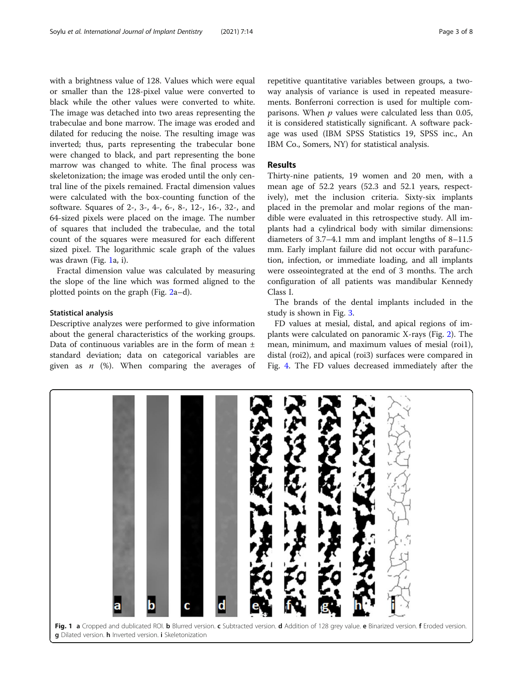with a brightness value of 128. Values which were equal or smaller than the 128-pixel value were converted to black while the other values were converted to white. The image was detached into two areas representing the trabeculae and bone marrow. The image was eroded and dilated for reducing the noise. The resulting image was inverted; thus, parts representing the trabecular bone were changed to black, and part representing the bone marrow was changed to white. The final process was skeletonization; the image was eroded until the only central line of the pixels remained. Fractal dimension values were calculated with the box-counting function of the software. Squares of 2-, 3-, 4-, 6-, 8-, 12-, 16-, 32-, and 64-sized pixels were placed on the image. The number of squares that included the trabeculae, and the total count of the squares were measured for each different sized pixel. The logarithmic scale graph of the values was drawn (Fig. 1a, i).

Fractal dimension value was calculated by measuring the slope of the line which was formed aligned to the plotted points on the graph (Fig. [2a](#page-3-0)–d).

#### Statistical analysis

Descriptive analyzes were performed to give information about the general characteristics of the working groups. Data of continuous variables are in the form of mean ± standard deviation; data on categorical variables are given as  $n \ (\%)$ . When comparing the averages of

```
repetitive quantitative variables between groups, a two-
way analysis of variance is used in repeated measure-
ments. Bonferroni correction is used for multiple com-
parisons. When p values were calculated less than 0.05,
it is considered statistically significant. A software pack-
age was used (IBM SPSS Statistics 19, SPSS inc., An
IBM Co., Somers, NY) for statistical analysis.
```
#### Results

Thirty-nine patients, 19 women and 20 men, with a mean age of 52.2 years (52.3 and 52.1 years, respectively), met the inclusion criteria. Sixty-six implants placed in the premolar and molar regions of the mandible were evaluated in this retrospective study. All implants had a cylindrical body with similar dimensions: diameters of 3.7–4.1 mm and implant lengths of 8–11.5 mm. Early implant failure did not occur with parafunction, infection, or immediate loading, and all implants were osseointegrated at the end of 3 months. The arch configuration of all patients was mandibular Kennedy Class I.

The brands of the dental implants included in the study is shown in Fig. [3.](#page-3-0)

FD values at mesial, distal, and apical regions of implants were calculated on panoramic X-rays (Fig. [2\)](#page-3-0). The mean, minimum, and maximum values of mesial (roi1), distal (roi2), and apical (roi3) surfaces were compared in Fig. [4.](#page-4-0) The FD values decreased immediately after the

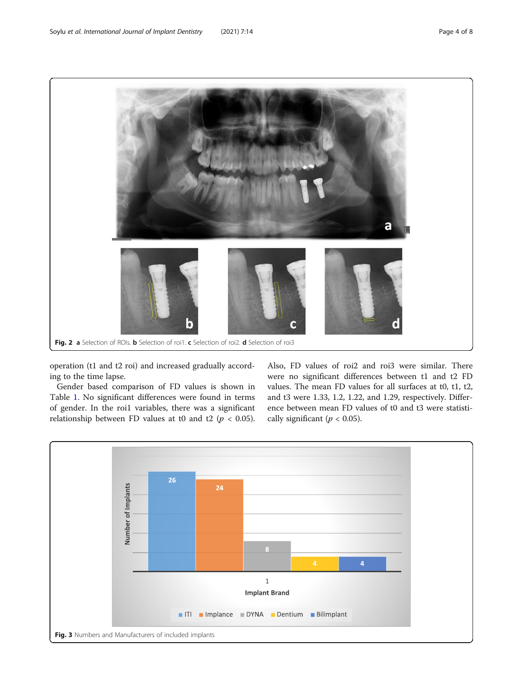<span id="page-3-0"></span>

operation (t1 and t2 roi) and increased gradually according to the time lapse.

Gender based comparison of FD values is shown in Table [1](#page-4-0). No significant differences were found in terms of gender. In the roi1 variables, there was a significant relationship between FD values at t0 and t2 ( $p < 0.05$ ).

Also, FD values of roi2 and roi3 were similar. There were no significant differences between t1 and t2 FD values. The mean FD values for all surfaces at t0, t1, t2, and t3 were 1.33, 1.2, 1.22, and 1.29, respectively. Difference between mean FD values of t0 and t3 were statistically significant ( $p < 0.05$ ).

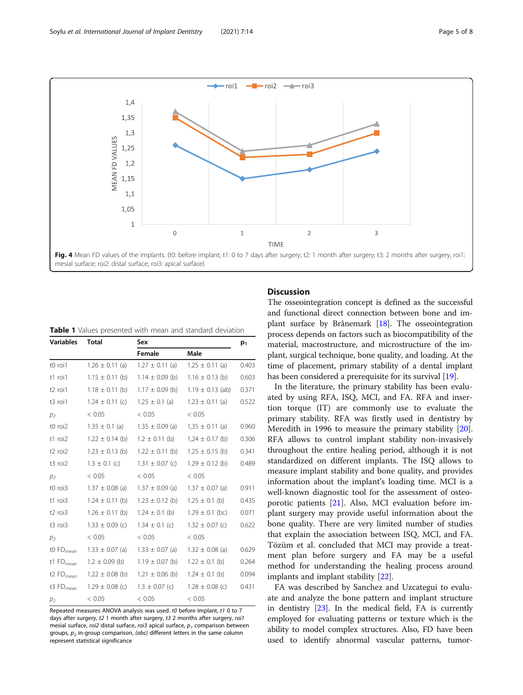<span id="page-4-0"></span>

| <b>Table 1</b> Values presented with mean and standard deviation |  |
|------------------------------------------------------------------|--|
|------------------------------------------------------------------|--|

| Variables                       | <b>Total</b>        | Sex                 |                      | $p_1$ |
|---------------------------------|---------------------|---------------------|----------------------|-------|
|                                 |                     | Female              | Male                 |       |
| t0 roi1                         | $1.26 \pm 0.11$ (a) | $1.27 \pm 0.11$ (a) | $1.25 \pm 0.11$ (a)  | 0.403 |
| t1 roi1                         | $1.15 \pm 0.11$ (b) | $1.14 \pm 0.09$ (b) | $1.16 \pm 0.13$ (b)  | 0.603 |
| t <sub>2</sub> roi1             | $1.18 \pm 0.11$ (b) | $1.17 \pm 0.09$ (b) | $1.19 \pm 0.13$ (ab) | 0.371 |
| t3 roi1                         | $1.24 \pm 0.11$ (c) | $1.25 \pm 0.1$ (a)  | $1.23 \pm 0.11$ (a)  | 0.522 |
| p <sub>2</sub>                  | < 0.05              | < 0.05              | < 0.05               |       |
| t0 roi2                         | $1.35 \pm 0.1$ (a)  | $1.35 \pm 0.09$ (a) | $1,35 \pm 0.11$ (a)  | 0.960 |
| t1 roi2                         | $1.22 \pm 0.14$ (b) | $1.2 \pm 0.11$ (b)  | $1,24 \pm 0.17$ (b)  | 0.306 |
| t <sub>2</sub> roi <sub>2</sub> | $1.23 \pm 0.13$ (b) | $1.22 \pm 0.11$ (b) | $1.25 \pm 0.15$ (b)  | 0.341 |
| t3 roi2                         | $1.3 \pm 0.1$ (c)   | $1.31 \pm 0.07$ (c) | $1.29 \pm 0.12$ (b)  | 0.489 |
| p <sub>2</sub>                  | < 0.05              | < 0.05              | < 0.05               |       |
| t0 roi3                         | $1.37 \pm 0.08$ (a) | $1.37 \pm 0.09$ (a) | $1.37 \pm 0.07$ (a)  | 0.911 |
| t1 roi3                         | $1.24 \pm 0.11$ (b) | $1.23 \pm 0.12$ (b) | $1.25 \pm 0.1$ (b)   | 0.435 |
| t <sub>2</sub> roi <sub>3</sub> | $1.26 \pm 0.11$ (b) | $1.24 \pm 0.1$ (b)  | $1.29 \pm 0.1$ (bc)  | 0.071 |
| t3 roi3                         | $1.33 \pm 0.09$ (c) | $1.34 \pm 0.1$ (c)  | $1.32 \pm 0.07$ (c)  | 0.622 |
| $p_2$                           | < 0.05              | < 0.05              | < 0.05               |       |
| $t0 FD_{mean}$                  | $1.33 \pm 0.07$ (a) | $1.33 \pm 0.07$ (a) | $1.32 \pm 0.08$ (a)  | 0.629 |
| $t1$ FD <sub>mean</sub>         | $1.2 \pm 0.09$ (b)  | $1.19 \pm 0.07$ (b) | $1.22 \pm 0.1$ (b)   | 0.264 |
| t2 FD <sub>mean</sub>           | $1.22 \pm 0.08$ (b) | $1.21 \pm 0.06$ (b) | $1.24 \pm 0.1$ (b)   | 0.094 |
| $t3FD_{mean}$                   | $1.29 \pm 0.08$ (c) | $1.3 \pm 0.07$ (c)  | $1.28 \pm 0.08$ (c)  | 0.431 |
| p <sub>2</sub>                  | < 0.05              | < 0.05              | < 0.05               |       |

Repeated measures ANOVA analysis was used. t0 before implant, t1 0 to 7 days after surgery, t2 1 month after surgery, t3 2 months after surgery, roi1 mesial surface, roi2 distal surface, roi3 apical surface,  $p_1$  comparison between groups,  $p_2$  in-group comparison, (abc) different letters in the same column represent statistical significance

# **Discussion**

The osseointegration concept is defined as the successful and functional direct connection between bone and implant surface by Brånemark [\[18](#page-6-0)]. The osseointegration process depends on factors such as biocompatibility of the material, macrostructure, and microstructure of the implant, surgical technique, bone quality, and loading. At the time of placement, primary stability of a dental implant has been considered a prerequisite for its survival [\[19\]](#page-6-0).

In the literature, the primary stability has been evaluated by using RFA, ISQ, MCI, and FA. RFA and insertion torque (IT) are commonly use to evaluate the primary stability. RFA was firstly used in dentistry by Meredith in 1996 to measure the primary stability [\[20](#page-6-0)]. RFA allows to control implant stability non-invasively throughout the entire healing period, although it is not standardized on different implants. The ISQ allows to measure implant stability and bone quality, and provides information about the implant's loading time. MCI is a well-known diagnostic tool for the assessment of osteoporotic patients [[21](#page-6-0)]. Also, MCI evaluation before implant surgery may provide useful information about the bone quality. There are very limited number of studies that explain the association between ISQ, MCI, and FA. Tözüm et al. concluded that MCI may provide a treatment plan before surgery and FA may be a useful method for understanding the healing process around implants and implant stability [\[22\]](#page-6-0).

FA was described by Sanchez and Uzcategui to evaluate and analyze the bone pattern and implant structure in dentistry [\[23\]](#page-6-0). In the medical field, FA is currently employed for evaluating patterns or texture which is the ability to model complex structures. Also, FD have been used to identify abnormal vascular patterns, tumor-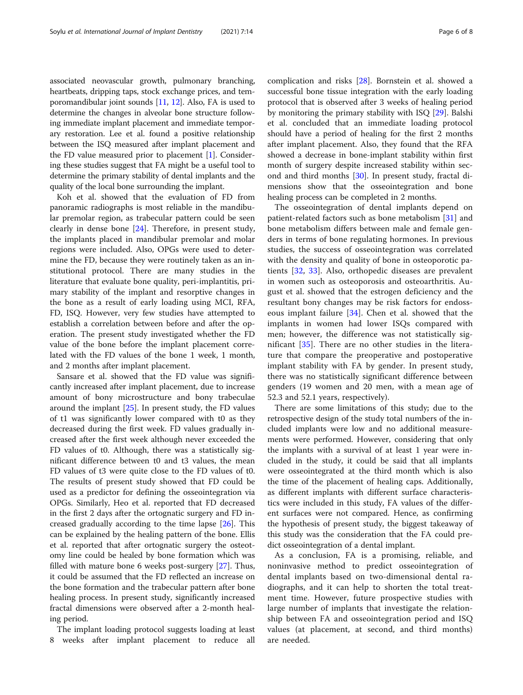associated neovascular growth, pulmonary branching, heartbeats, dripping taps, stock exchange prices, and temporomandibular joint sounds [\[11,](#page-6-0) [12\]](#page-6-0). Also, FA is used to determine the changes in alveolar bone structure following immediate implant placement and immediate temporary restoration. Lee et al. found a positive relationship between the ISQ measured after implant placement and the FD value measured prior to placement [\[1](#page-6-0)]. Considering these studies suggest that FA might be a useful tool to determine the primary stability of dental implants and the quality of the local bone surrounding the implant.

Koh et al. showed that the evaluation of FD from panoramic radiographs is most reliable in the mandibular premolar region, as trabecular pattern could be seen clearly in dense bone [\[24\]](#page-6-0). Therefore, in present study, the implants placed in mandibular premolar and molar regions were included. Also, OPGs were used to determine the FD, because they were routinely taken as an institutional protocol. There are many studies in the literature that evaluate bone quality, peri-implantitis, primary stability of the implant and resorptive changes in the bone as a result of early loading using MCI, RFA, FD, ISQ. However, very few studies have attempted to establish a correlation between before and after the operation. The present study investigated whether the FD value of the bone before the implant placement correlated with the FD values of the bone 1 week, 1 month, and 2 months after implant placement.

Sansare et al. showed that the FD value was significantly increased after implant placement, due to increase amount of bony microstructure and bony trabeculae around the implant [\[25\]](#page-6-0). In present study, the FD values of t1 was significantly lower compared with t0 as they decreased during the first week. FD values gradually increased after the first week although never exceeded the FD values of t0. Although, there was a statistically significant difference between t0 and t3 values, the mean FD values of t3 were quite close to the FD values of t0. The results of present study showed that FD could be used as a predictor for defining the osseointegration via OPGs. Similarly, Heo et al. reported that FD decreased in the first 2 days after the ortognatic surgery and FD increased gradually according to the time lapse [\[26](#page-6-0)]. This can be explained by the healing pattern of the bone. Ellis et al. reported that after ortognatic surgery the osteotomy line could be healed by bone formation which was filled with mature bone 6 weeks post-surgery [\[27\]](#page-6-0). Thus, it could be assumed that the FD reflected an increase on the bone formation and the trabecular pattern after bone healing process. In present study, significantly increased fractal dimensions were observed after a 2-month healing period.

The implant loading protocol suggests loading at least 8 weeks after implant placement to reduce all complication and risks [[28\]](#page-6-0). Bornstein et al. showed a successful bone tissue integration with the early loading protocol that is observed after 3 weeks of healing period by monitoring the primary stability with ISQ [[29\]](#page-6-0). Balshi et al. concluded that an immediate loading protocol should have a period of healing for the first 2 months after implant placement. Also, they found that the RFA showed a decrease in bone-implant stability within first month of surgery despite increased stability within second and third months [[30\]](#page-6-0). In present study, fractal dimensions show that the osseointegration and bone healing process can be completed in 2 months.

The osseointegration of dental implants depend on patient-related factors such as bone metabolism [[31](#page-6-0)] and bone metabolism differs between male and female genders in terms of bone regulating hormones. In previous studies, the success of osseointegration was correlated with the density and quality of bone in osteoporotic patients [\[32](#page-6-0), [33\]](#page-7-0). Also, orthopedic diseases are prevalent in women such as osteoporosis and osteoarthritis. August et al. showed that the estrogen deficiency and the resultant bony changes may be risk factors for endosseous implant failure [[34](#page-7-0)]. Chen et al. showed that the implants in women had lower ISQs compared with men; however, the difference was not statistically significant [[35\]](#page-7-0). There are no other studies in the literature that compare the preoperative and postoperative implant stability with FA by gender. In present study, there was no statistically significant difference between genders (19 women and 20 men, with a mean age of 52.3 and 52.1 years, respectively).

There are some limitations of this study; due to the retrospective design of the study total numbers of the included implants were low and no additional measurements were performed. However, considering that only the implants with a survival of at least 1 year were included in the study, it could be said that all implants were osseointegrated at the third month which is also the time of the placement of healing caps. Additionally, as different implants with different surface characteristics were included in this study, FA values of the different surfaces were not compared. Hence, as confirming the hypothesis of present study, the biggest takeaway of this study was the consideration that the FA could predict osseointegration of a dental implant.

As a conclusion, FA is a promising, reliable, and noninvasive method to predict osseointegration of dental implants based on two-dimensional dental radiographs, and it can help to shorten the total treatment time. However, future prospective studies with large number of implants that investigate the relationship between FA and osseointegration period and ISQ values (at placement, at second, and third months) are needed.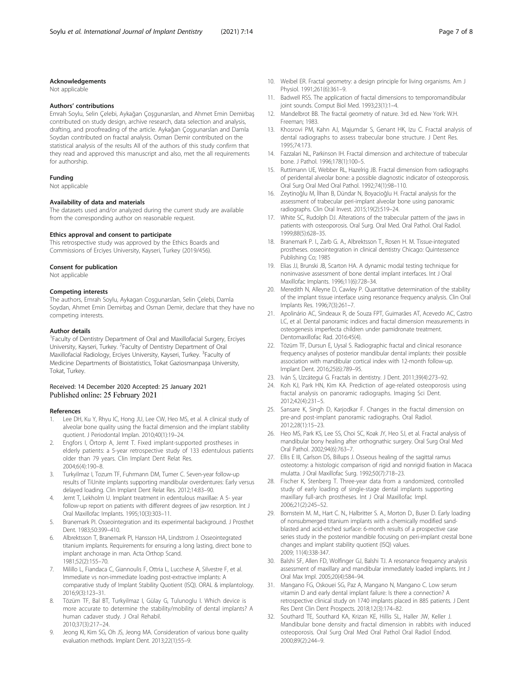#### <span id="page-6-0"></span>Acknowledgements

Not applicable

#### Authors' contributions

Emrah Soylu, Selin Çelebi, Aykağan Çoşgunarslan, and Ahmet Emin Demirbaş contributed on study design, archive research, data selection and analysis, drafting, and proofreading of the article. Aykağan Çoşgunarslan and Damla Soydan contributed on fractal analysis. Osman Demir contributed on the statistical analysis of the results All of the authors of this study confirm that they read and approved this manuscript and also, met the all requirements for authorship.

#### Funding

Not applicable

#### Availability of data and materials

The datasets used and/or analyzed during the current study are available from the corresponding author on reasonable request.

#### Ethics approval and consent to participate

This retrospective study was approved by the Ethics Boards and Commissions of Erciyes University, Kayseri, Turkey (2019/456).

#### Consent for publication

Not applicable

#### Competing interests

The authors, Emrah Soylu, Aykagan Coşgunarslan, Selin Çelebi, Damla Soydan, Ahmet Emin Demirbaş and Osman Demir, declare that they have no competing interests.

#### Author details

<sup>1</sup> Faculty of Dentistry Department of Oral and Maxillofacial Surgery, Erciyes University, Kayseri, Turkey. <sup>2</sup> Faculty of Dentistry Department of Oral Maxillofacial Radiology, Erciyes University, Kayseri, Turkey. <sup>3</sup>Faculty of Medicine Departments of Bioistatistics, Tokat Gaziosmanpaşa University, Tokat, Turkey.

#### Received: 14 December 2020 Accepted: 25 January 2021 Published online: 25 February 2021

#### References

- 1. Lee DH, Ku Y, Rhyu IC, Hong JU, Lee CW, Heo MS, et al. A clinical study of alveolar bone quality using the fractal dimension and the implant stability quotient. J Periodontal Implan. 2010;40(1):19–24.
- 2. Engfors I, Örtorp A, Jemt T. Fixed implant-supported prostheses in elderly patients: a 5-year retrospective study of 133 edentulous patients older than 79 years. Clin Implant Dent Relat Res. 2004;6(4):190–8.
- 3. Turkyilmaz I, Tozum TF, Fuhrmann DM, Tumer C. Seven-year follow-up results of TiUnite implants supporting mandibular overdentures: Early versus delayed loading. Clin Implant Dent Relat Res. 2012;14:83–90.
- 4. Jemt T, Lekholm U. Implant treatment in edentulous maxillae: A 5- year follow-up report on patients with different degrees of jaw resorption. Int J Oral Maxillofac Implants. 1995;10(3):303–11.
- 5. Branemark PI. Osseointegration and its experimental background. J Prosthet Dent. 1983;50:399–410.
- 6. Albrektsson T, Branemark PI, Hansson HA, Lindstrom J. Osseointegrated titanium implants. Requirements for ensuring a long lasting, direct bone to implant anchorage in man. Acta Orthop Scand. 1981;52(2):155–70.
- Milillo L, Fiandaca C, Giannoulis F, Ottria L, Lucchese A, Silvestre F, et al. Immediate vs non-immediate loading post-extractive implants: A comparative study of Implant Stability Quotient (ISQ). ORAL & implantology. 2016;9(3):123–31.
- 8. Tözüm TF, Bal BT, Turkyilmaz I, Gülay G, Tulunoglu I. Which device is more accurate to determine the stability/mobility of dental implants? A human cadaver study. J Oral Rehabil. 2010;37(3):217–24.
- 9. Jeong KI, Kim SG, Oh JS, Jeong MA. Consideration of various bone quality evaluation methods. Implant Dent. 2013;22(1):55–9.
- 10. Weibel ER. Fractal geometry: a design principle for living organisms. Am J Physiol. 1991;261(6):361–9.
- 11. Badwell RSS. The application of fractal dimensions to temporomandibular joint sounds. Comput Biol Med. 1993;23(1):1–4.
- 12. Mandelbrot BB. The fractal geometry of nature. 3rd ed. New York: W.H. Freeman; 1983.
- 13. Khosrovi PM, Kahn AJ, Majumdar S, Genant HK, Izu C. Fractal analysis of dental radiographs to assess trabecular bone structure. J Dent Res. 1995;74:173.
- 14. Fazzalari NL, Parkinson IH. Fractal dimension and architecture of trabecular bone. J Pathol. 1996;178(1):100–5.
- 15. Ruttimann UE, Webber RL, Hazelrig JB. Fractal dimension from radiographs of peridental alveolar bone: a possible diagnostic indicator of osteoporosis. Oral Surg Oral Med Oral Pathol. 1992;74(1):98–110.
- 16. Zeytinoğlu M, İlhan B, Dündar N, Boyacioğlu H. Fractal analysis for the assessment of trabecular peri-implant alveolar bone using panoramic radiographs. Clin Oral Invest. 2015;19(2):519–24.
- 17. White SC, Rudolph DJ. Alterations of the trabecular pattern of the jaws in patients with osteoporosis. Oral Surg. Oral Med. Oral Pathol. Oral Radiol. 1999;88(5):628–35.
- 18. Branemark P. I., Zarb G. A., Albrektsson T., Rosen H. M. Tissue-integrated prostheses. osseointegration in clinical dentistry Chicago: Quintessence Publishing Co; 1985
- 19. Elias JJ, Brunski JB, Scarton HA. A dynamic modal testing technique for noninvasive assessment of bone dental implant interfaces. Int J Oral Maxillofac Implants. 1996;11(6):728–34.
- 20. Meredith N, Alleyne D, Cawley P. Quantitative determination of the stability of the implant tissue interface using resonance frequency analysis. Clin Oral Implants Res. 1996;7(3):261–7.
- 21. Apolinário AC, Sindeaux R, de Souza FPT, Guimarães AT, Acevedo AC, Castro LC, et al. Dental panoramic indices and fractal dimension measurements in osteogenesis imperfecta children under pamidronate treatment. Dentomaxillofac Rad. 2016:45(4).
- 22. Tözüm TF, Dursun E, Uysal S. Radiographic fractal and clinical resonance frequency analyses of posterior mandibular dental implants: their possible association with mandibular cortical index with 12-month follow-up. Implant Dent. 2016;25(6):789–95.
- 23. Iván S, Uzcátegui G. Fractals in dentistry. J Dent. 2011;39(4):273–92.
- 24. Koh KJ, Park HN, Kim KA. Prediction of age-related osteoporosis using fractal analysis on panoramic radiographs. Imaging Sci Dent. 2012;42(4):231–5.
- 25. Sansare K, Singh D, Karjodkar F. Changes in the fractal dimension on pre-and post-implant panoramic radiographs. Oral Radiol. 2012;28(1):15–23.
- 26. Heo MS, Park KS, Lee SS, Choi SC, Koak JY, Heo SJ, et al. Fractal analysis of mandibular bony healing after orthognathic surgery. Oral Surg Oral Med Oral Pathol. 2002;94(6):763–7.
- 27. Ellis E III, Carlson DS, Billups J. Osseous healing of the sagittal ramus osteotomy: a histologic comparison of rigid and nonrigid fixation in Macaca mulatta. J Oral Maxillofac Surg. 1992;50(7):718–23.
- 28. Fischer K, Stenberg T. Three-year data from a randomized, controlled study of early loading of single-stage dental implants supporting maxillary full-arch prostheses. Int J Oral Maxillofac Impl. 2006;21(2):245–52.
- 29. Bornstein M. M., Hart C. N., Halbritter S. A., Morton D., Buser D. Early loading of nonsubmerged titanium implants with a chemically modified sandblasted and acid-etched surface: 6-month results of a prospective case series study in the posterior mandible focusing on peri-implant crestal bone changes and implant stability quotient (ISQ) values. 2009; 11(4):338-347.
- 30. Balshi SF, Allen FD, Wolfinger GJ, Balshi TJ. A resonance frequency analysis assessment of maxillary and mandibular immediately loaded implants. Int J Oral Max Impl. 2005;20(4):584–94.
- 31. Mangano FG, Oskouei SG, Paz A, Mangano N, Mangano C. Low serum vitamin D and early dental implant failure: Is there a connection? A retrospective clinical study on 1740 implants placed in 885 patients. J Dent Res Dent Clin Dent Prospects. 2018;12(3):174–82.
- 32. Southard TE, Southard KA, Krizan KE, Hillis SL, Haller JW, Keller J. Mandibular bone density and fractal dimension in rabbits with induced osteoporosis. Oral Surg Oral Med Oral Pathol Oral Radiol Endod. 2000;89(2):244–9.